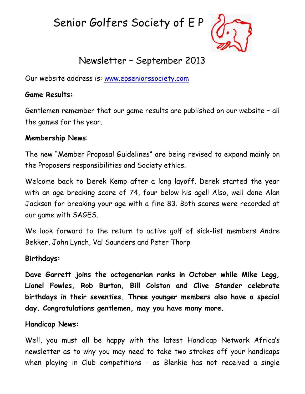Senior Golfers Society of E P



# Newsletter – September 2013

Our website address is: [www.epseniorssociety.com](http://www.epseniorssociety.com/)

#### **Game Results:**

Gentlemen remember that our game results are published on our website – all the games for the year.

#### **Membership News**:

The new "Member Proposal Guidelines" are being revised to expand mainly on the Proposers responsibilities and Society ethics.

Welcome back to Derek Kemp after a long layoff. Derek started the year with an age breaking score of 74, four below his age!! Also, well done Alan Jackson for breaking your age with a fine 83. Both scores were recorded at our game with SAGES.

We look forward to the return to active golf of sick-list members Andre Bekker, John Lynch, Val Saunders and Peter Thorp

#### **Birthdays:**

**Dave Garrett joins the octogenarian ranks in October while Mike Legg, Lionel Fowles, Rob Burton, Bill Colston and Clive Stander celebrate birthdays in their seventies. Three younger members also have a special day. Congratulations gentlemen, may you have many more.** 

#### **Handicap News:**

Well, you must all be happy with the latest Handicap Network Africa's newsletter as to why you may need to take two strokes off your handicaps when playing in Club competitions - as Blenkie has not received a single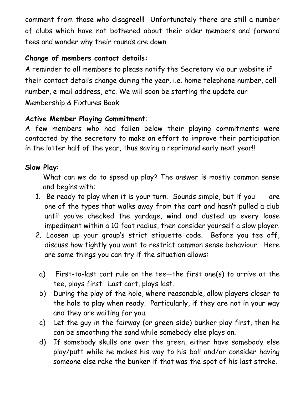comment from those who disagree!!! Unfortunately there are still a number of clubs which have not bothered about their older members and forward tees and wonder why their rounds are down.

# **Change of members contact details:**

A reminder to all members to please notify the Secretary via our website if their contact details change during the year, i.e. home telephone number, cell number, e-mail address, etc. We will soon be starting the update our Membership & Fixtures Book

#### **Active Member Playing Commitment**:

A few members who had fallen below their playing commitments were contacted by the secretary to make an effort to improve their participation in the latter half of the year, thus saving a reprimand early next year!!

#### **Slow Play**:

What can we do to speed up play? The answer is mostly common sense and begins with:

- 1. Be ready to play when it is your turn. Sounds simple, but if you are one of the types that walks away from the cart and hasn't pulled a club until you've checked the yardage, wind and dusted up every loose impediment within a 10 foot radius, then consider yourself a slow player.
- 2. Loosen up your group's strict etiquette code. Before you tee off, discuss how tightly you want to restrict common sense behaviour. Here are some things you can try if the situation allows:
	- a) First-to-last cart rule on the tee—the first one(s) to arrive at the tee, plays first. Last cart, plays last.
	- b) During the play of the hole, where reasonable, allow players closer to the hole to play when ready. Particularly, if they are not in your way and they are waiting for you.
	- c) Let the guy in the fairway (or green-side) bunker play first, then he can be smoothing the sand while somebody else plays on.
	- d) If somebody skulls one over the green, either have somebody else play/putt while he makes his way to his ball and/or consider having someone else rake the bunker if that was the spot of his last stroke.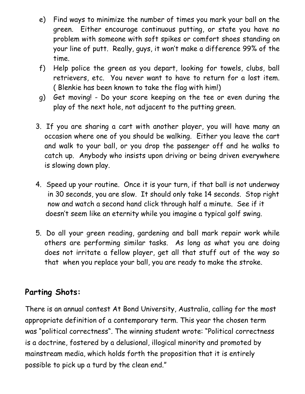- e) Find ways to minimize the number of times you mark your ball on the green. Either encourage continuous putting, or state you have no problem with someone with soft spikes or comfort shoes standing on your line of putt. Really, guys, it won't make a difference 99% of the time.
- f) Help police the green as you depart, looking for towels, clubs, ball retrievers, etc. You never want to have to return for a lost item. ( Blenkie has been known to take the flag with him!)
- g) Get moving! Do your score keeping on the tee or even during the play of the next hole, not adjacent to the putting green.
- 3. If you are sharing a cart with another player, you will have many an occasion where one of you should be walking. Either you leave the cart and walk to your ball, or you drop the passenger off and he walks to catch up. Anybody who insists upon driving or being driven everywhere is slowing down play.
- 4. Speed up your routine. Once it is your turn, if that ball is not underway in 30 seconds, you are slow. It should only take 14 seconds. Stop right now and watch a second hand click through half a minute. See if it doesn't seem like an eternity while you imagine a typical golf swing.
- 5. Do all your green reading, gardening and ball mark repair work while others are performing similar tasks. As long as what you are doing does not irritate a fellow player, get all that stuff out of the way so that when you replace your ball, you are ready to make the stroke.

# **Parting Shots:**

There is an annual contest At Bond University, Australia, calling for the most appropriate definition of a contemporary term. This year the chosen term was "political correctness". The winning student wrote: "Political correctness is a doctrine, fostered by a delusional, illogical minority and promoted by mainstream media, which holds forth the proposition that it is entirely possible to pick up a turd by the clean end.‖